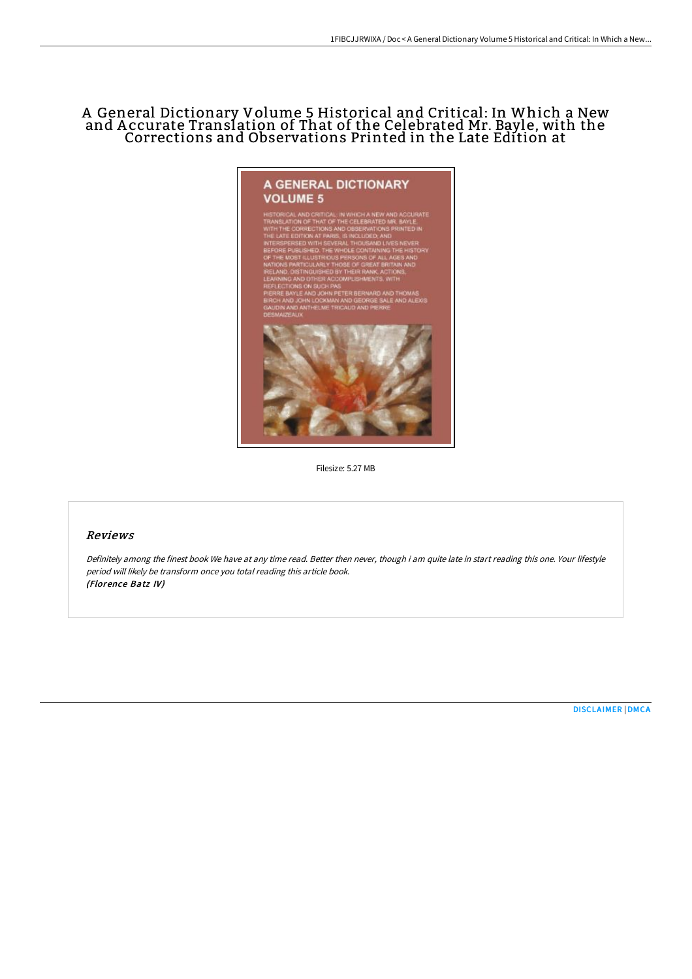# A General Dictionary Volume 5 Historical and Critical: In Which a New and A ccurate Translation of That of the Celebrated Mr. Bayle, with the Corrections and Observations Printed in the Late Edition at



Filesize: 5.27 MB

## Reviews

Definitely among the finest book We have at any time read. Better then never, though i am quite late in start reading this one. Your lifestyle period will likely be transform once you total reading this article book. (Florence Batz IV)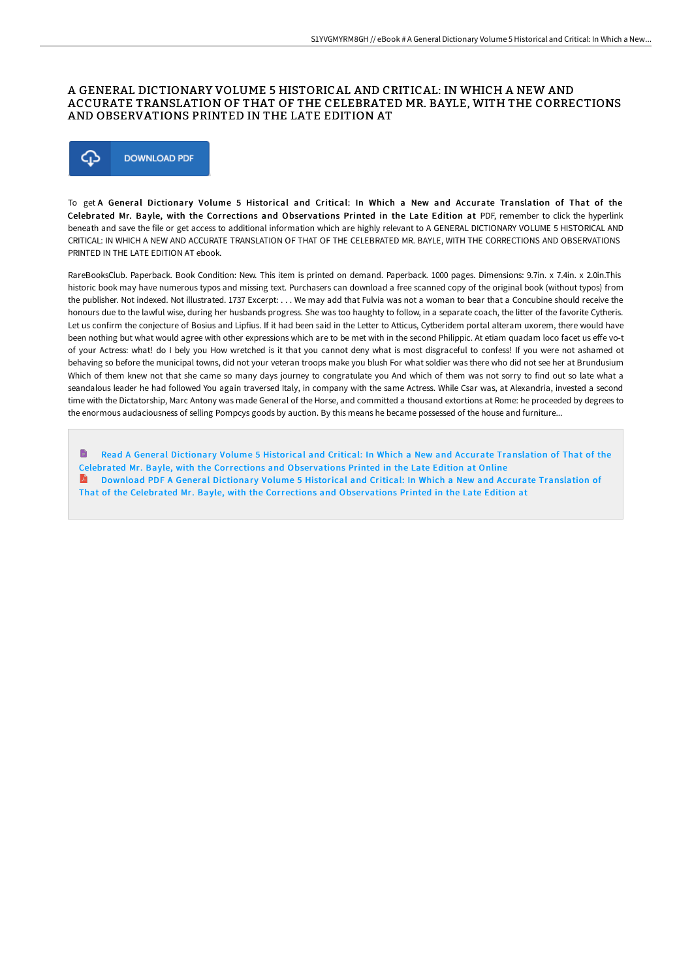## A GENERAL DICTIONARY VOLUME 5 HISTORICAL AND CRITICAL: IN WHICH A NEW AND ACCURATE TRANSLATION OF THAT OF THE CELEBRATED MR. BAYLE, WITH THE CORRECTIONS AND OBSERVATIONS PRINTED IN THE LATE EDITION AT



To get A General Dictionary Volume 5 Historical and Critical: In Which a New and Accurate Translation of That of the Celebrated Mr. Bayle, with the Corrections and Observations Printed in the Late Edition at PDF, remember to click the hyperlink beneath and save the file or get access to additional information which are highly relevant to A GENERAL DICTIONARY VOLUME 5 HISTORICAL AND CRITICAL: IN WHICH A NEW AND ACCURATE TRANSLATION OF THAT OF THE CELEBRATED MR. BAYLE, WITH THE CORRECTIONS AND OBSERVATIONS PRINTED IN THE LATE EDITION AT ebook.

RareBooksClub. Paperback. Book Condition: New. This item is printed on demand. Paperback. 1000 pages. Dimensions: 9.7in. x 7.4in. x 2.0in.This historic book may have numerous typos and missing text. Purchasers can download a free scanned copy of the original book (without typos) from the publisher. Not indexed. Not illustrated. 1737 Excerpt: . . . We may add that Fulvia was not a woman to bear that a Concubine should receive the honours due to the lawful wise, during her husbands progress. She was too haughty to follow, in a separate coach, the litter of the favorite Cytheris. Let us confirm the conjecture of Bosius and Lipfius. If it had been said in the Letter to Atticus, Cytberidem portal alteram uxorem, there would have been nothing but what would agree with other expressions which are to be met with in the second Philippic. At etiam quadam loco facet us effe vo-t of your Actress: what! do I bely you How wretched is it that you cannot deny what is most disgraceful to confess! If you were not ashamed ot behaving so before the municipal towns, did not your veteran troops make you blush For what soldier was there who did not see her at Brundusium Which of them knew not that she came so many days journey to congratulate you And which of them was not sorry to find out so late what a seandalous leader he had followed You again traversed Italy, in company with the same Actress. While Csar was, at Alexandria, invested a second time with the Dictatorship, Marc Antony was made General of the Horse, and committed a thousand extortions at Rome: he proceeded by degrees to the enormous audaciousness of selling Pompcys goods by auction. By this means he became possessed of the house and furniture...

Read A General Dictionary Volume 5 Historical and Critical: In Which a New and Accurate [Translation](http://techno-pub.tech/a-general-dictionary-volume-5-historical-and-cri.html) of That of the Celebrated Mr. Bayle, with the Corrections and Obser vations Printed in the Late Edition at Online A Download PDF A General Dictionary Volume 5 Historical and Critical: In Which a New and Accurate [Translation](http://techno-pub.tech/a-general-dictionary-volume-5-historical-and-cri.html) of That of the Celebrated Mr. Bayle, with the Corrections and Observations Printed in the Late Edition at